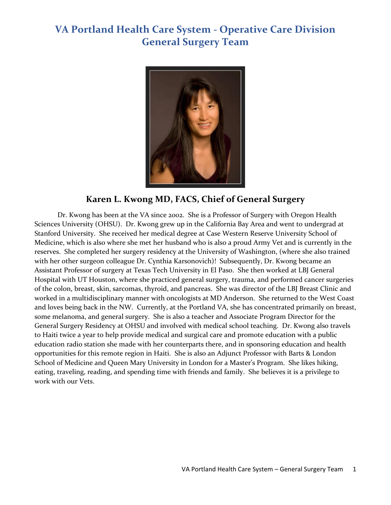

### **Karen L. Kwong MD, FACS, Chief of General Surgery**

Dr. Kwong has been at the VA since 2002. She is a Professor of Surgery with Oregon Health Sciences University (OHSU). Dr. Kwong grew up in the California Bay Area and went to undergrad at Stanford University. She received her medical degree at Case Western Reserve University School of Medicine, which is also where she met her husband who is also a proud Army Vet and is currently in the reserves. She completed her surgery residency at the University of Washington, (where she also trained with her other surgeon colleague Dr. Cynthia Karsonovich)! Subsequently, Dr. Kwong became an Assistant Professor of surgery at Texas Tech University in El Paso. She then worked at LBJ General Hospital with UT Houston, where she practiced general surgery, trauma, and performed cancer surgeries of the colon, breast, skin, sarcomas, thyroid, and pancreas. She was director of the LBJ Breast Clinic and worked in a multidisciplinary manner with oncologists at MD Anderson. She returned to the West Coast and loves being back in the NW. Currently, at the Portland VA, she has concentrated primarily on breast, some melanoma, and general surgery. She is also a teacher and Associate Program Director for the General Surgery Residency at OHSU and involved with medical school teaching. Dr. Kwong also travels to Haiti twice a year to help provide medical and surgical care and promote education with a public education radio station she made with her counterparts there, and in sponsoring education and health opportunities for this remote region in Haiti. She is also an Adjunct Professor with Barts & London School of Medicine and Queen Mary University in London for a Master's Program. She likes hiking, eating, traveling, reading, and spending time with friends and family. She believes it is a privilege to work with our Vets.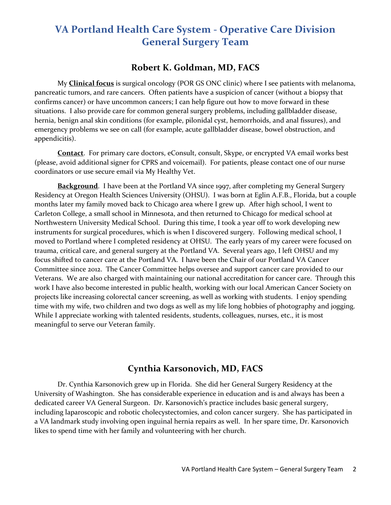#### **Robert K. Goldman, MD, FACS**

My **Clinical focus** is surgical oncology (POR GS ONC clinic) where I see patients with melanoma, pancreatic tumors, and rare cancers. Often patients have a suspicion of cancer (without a biopsy that confirms cancer) or have uncommon cancers; I can help figure out how to move forward in these situations. I also provide care for common general surgery problems, including gallbladder disease, hernia, benign anal skin conditions (for example, pilonidal cyst, hemorrhoids, and anal fissures), and emergency problems we see on call (for example, acute gallbladder disease, bowel obstruction, and appendicitis).

**Contact**. For primary care doctors, eConsult, consult, Skype, or encrypted VA email works best (please, avoid additional signer for CPRS and voicemail). For patients, please contact one of our nurse coordinators or use secure email via My Healthy Vet.

**Background**. I have been at the Portland VA since 1997, after completing my General Surgery Residency at Oregon Health Sciences University (OHSU). I was born at Eglin A.F.B., Florida, but a couple months later my family moved back to Chicago area where I grew up. After high school, I went to Carleton College, a small school in Minnesota, and then returned to Chicago for medical school at Northwestern University Medical School. During this time, I took a year off to work developing new instruments for surgical procedures, which is when I discovered surgery. Following medical school, I moved to Portland where I completed residency at OHSU. The early years of my career were focused on trauma, critical care, and general surgery at the Portland VA. Several years ago, I left OHSU and my focus shifted to cancer care at the Portland VA. I have been the Chair of our Portland VA Cancer Committee since 2012. The Cancer Committee helps oversee and support cancer care provided to our Veterans. We are also charged with maintaining our national accreditation for cancer care. Through this work I have also become interested in public health, working with our local American Cancer Society on projects like increasing colorectal cancer screening, as well as working with students. I enjoy spending time with my wife, two children and two dogs as well as my life long hobbies of photography and jogging. While I appreciate working with talented residents, students, colleagues, nurses, etc., it is most meaningful to serve our Veteran family.

### **Cynthia Karsonovich, MD, FACS**

Dr. Cynthia Karsonovich grew up in Florida. She did her General Surgery Residency at the University of Washington. She has considerable experience in education and is and always has been a dedicated career VA General Surgeon. Dr. Karsonovich's practice includes basic general surgery, including laparoscopic and robotic cholecystectomies, and colon cancer surgery. She has participated in a VA landmark study involving open inguinal hernia repairs as well. In her spare time, Dr. Karsonovich likes to spend time with her family and volunteering with her church.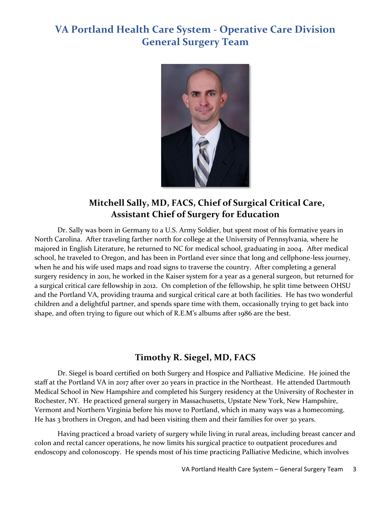

### **Mitchell Sally, MD, FACS, Chief of Surgical Critical Care, Assistant Chief of Surgery for Education**

Dr. Sally was born in Germany to a U.S. Army Soldier, but spent most of his formative years in North Carolina. After traveling farther north for college at the University of Pennsylvania, where he majored in English Literature, he returned to NC for medical school, graduating in 2004. After medical school, he traveled to Oregon, and has been in Portland ever since that long and cellphone-less journey, when he and his wife used maps and road signs to traverse the country. After completing a general surgery residency in 2011, he worked in the Kaiser system for a year as a general surgeon, but returned for a surgical critical care fellowship in 2012. On completion of the fellowship, he split time between OHSU and the Portland VA, providing trauma and surgical critical care at both facilities. He has two wonderful children and a delightful partner, and spends spare time with them, occasionally trying to get back into shape, and often trying to figure out which of R.E.M's albums after 1986 are the best.

#### **Timothy R. Siegel, MD, FACS**

Dr. Siegel is board certified on both Surgery and Hospice and Palliative Medicine. He joined the staff at the Portland VA in 2017 after over 20 years in practice in the Northeast. He attended Dartmouth Medical School in New Hampshire and completed his Surgery residency at the University of Rochester in Rochester, NY. He practiced general surgery in Massachusetts, Upstate New York, New Hampshire, Vermont and Northern Virginia before his move to Portland, which in many ways was a homecoming. He has 3 brothers in Oregon, and had been visiting them and their families for over 30 years.

Having practiced a broad variety of surgery while living in rural areas, including breast cancer and colon and rectal cancer operations, he now limits his surgical practice to outpatient procedures and endoscopy and colonoscopy. He spends most of his time practicing Palliative Medicine, which involves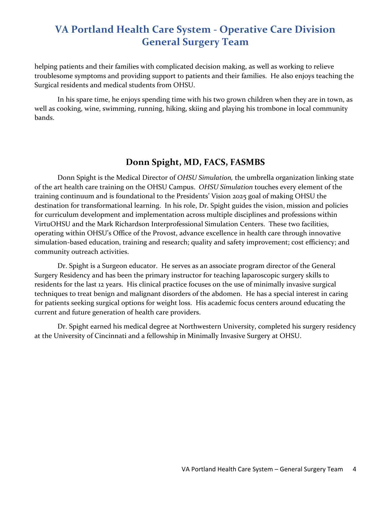helping patients and their families with complicated decision making, as well as working to relieve troublesome symptoms and providing support to patients and their families. He also enjoys teaching the Surgical residents and medical students from OHSU.

In his spare time, he enjoys spending time with his two grown children when they are in town, as well as cooking, wine, swimming, running, hiking, skiing and playing his trombone in local community bands.

#### **Donn Spight, MD, FACS, FASMBS**

Donn Spight is the Medical Director of *OHSU Simulation,* the umbrella organization linking state of the art health care training on the OHSU Campus. *OHSU Simulation* touches every element of the training continuum and is foundational to the Presidents' Vision 2025 goal of making OHSU the destination for transformational learning. In his role, Dr. Spight guides the vision, mission and policies for curriculum development and implementation across multiple disciplines and professions within VirtuOHSU and the Mark Richardson Interprofessional Simulation Centers. These two facilities, operating within OHSU's Office of the Provost, advance excellence in health care through innovative simulation-based education, training and research; quality and safety improvement; cost efficiency; and community outreach activities.

Dr. Spight is a Surgeon educator. He serves as an associate program director of the General Surgery Residency and has been the primary instructor for teaching laparoscopic surgery skills to residents for the last 12 years. His clinical practice focuses on the use of minimally invasive surgical techniques to treat benign and malignant disorders of the abdomen. He has a special interest in caring for patients seeking surgical options for weight loss. His academic focus centers around educating the current and future generation of health care providers.

Dr. Spight earned his medical degree at Northwestern University, completed his surgery residency at the University of Cincinnati and a fellowship in Minimally Invasive Surgery at OHSU.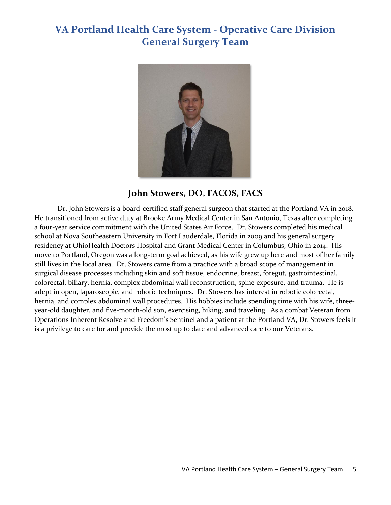

#### **John Stowers, DO, FACOS, FACS**

Dr. John Stowers is a board-certified staff general surgeon that started at the Portland VA in 2018. He transitioned from active duty at Brooke Army Medical Center in San Antonio, Texas after completing a four-year service commitment with the United States Air Force. Dr. Stowers completed his medical school at Nova Southeastern University in Fort Lauderdale, Florida in 2009 and his general surgery residency at OhioHealth Doctors Hospital and Grant Medical Center in Columbus, Ohio in 2014. His move to Portland, Oregon was a long-term goal achieved, as his wife grew up here and most of her family still lives in the local area. Dr. Stowers came from a practice with a broad scope of management in surgical disease processes including skin and soft tissue, endocrine, breast, foregut, gastrointestinal, colorectal, biliary, hernia, complex abdominal wall reconstruction, spine exposure, and trauma. He is adept in open, laparoscopic, and robotic techniques. Dr. Stowers has interest in robotic colorectal, hernia, and complex abdominal wall procedures. His hobbies include spending time with his wife, threeyear-old daughter, and five-month-old son, exercising, hiking, and traveling. As a combat Veteran from Operations Inherent Resolve and Freedom's Sentinel and a patient at the Portland VA, Dr. Stowers feels it is a privilege to care for and provide the most up to date and advanced care to our Veterans.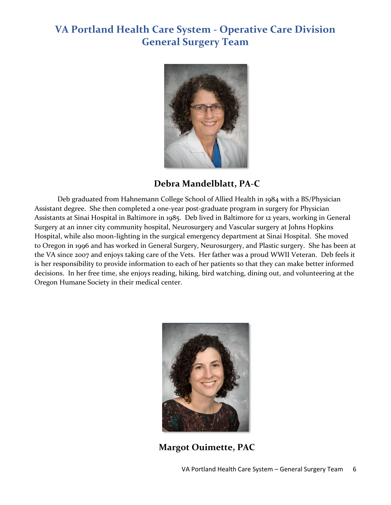

### **Debra Mandelblatt, PA-C**

Deb graduated from Hahnemann College School of Allied Health in 1984 with a BS/Physician Assistant degree. She then completed a one-year post-graduate program in surgery for Physician Assistants at Sinai Hospital in Baltimore in 1985. Deb lived in Baltimore for 12 years, working in General Surgery at an inner city community hospital, Neurosurgery and Vascular surgery at Johns Hopkins Hospital, while also moon-lighting in the surgical emergency department at Sinai Hospital. She moved to Oregon in 1996 and has worked in General Surgery, Neurosurgery, and Plastic surgery. She has been at the VA since 2007 and enjoys taking care of the Vets. Her father was a proud WWII Veteran. Deb feels it is her responsibility to provide information to each of her patients so that they can make better informed decisions. In her free time, she enjoys reading, hiking, bird watching, dining out, and volunteering at the Oregon Humane Society in their medical center.



**Margot Ouimette, PAC**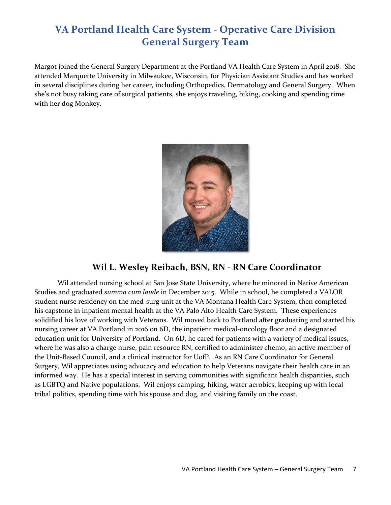Margot joined the General Surgery Department at the Portland VA Health Care System in April 2018. She attended Marquette University in Milwaukee, Wisconsin, for Physician Assistant Studies and has worked in several disciplines during her career, including Orthopedics, Dermatology and General Surgery. When she's not busy taking care of surgical patients, she enjoys traveling, biking, cooking and spending time with her dog Monkey.



### **Wil L. Wesley Reibach, BSN, RN - RN Care Coordinator**

Wil attended nursing school at San Jose State University, where he minored in Native American Studies and graduated *summa cum laude* in December 2015. While in school, he completed a VALOR student nurse residency on the med-surg unit at the VA Montana Health Care System, then completed his capstone in inpatient mental health at the VA Palo Alto Health Care System. These experiences solidified his love of working with Veterans. Wil moved back to Portland after graduating and started his nursing career at VA Portland in 2016 on 6D, the inpatient medical-oncology floor and a designated education unit for University of Portland. On 6D, he cared for patients with a variety of medical issues, where he was also a charge nurse, pain resource RN, certified to administer chemo, an active member of the Unit-Based Council, and a clinical instructor for UofP. As an RN Care Coordinator for General Surgery, Wil appreciates using advocacy and education to help Veterans navigate their health care in an informed way. He has a special interest in serving communities with significant health disparities, such as LGBTQ and Native populations. Wil enjoys camping, hiking, water aerobics, keeping up with local tribal politics, spending time with his spouse and dog, and visiting family on the coast.